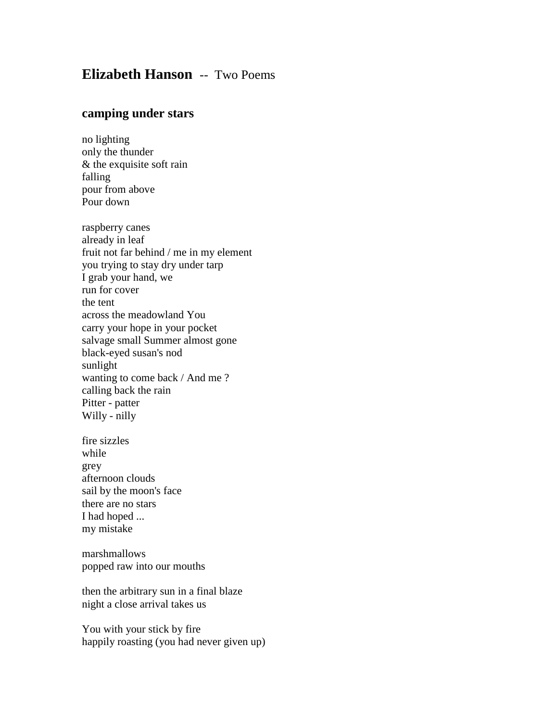## **Elizabeth Hanson** -- Two Poems

## **camping under stars**

no lighting only the thunder & the exquisite soft rain falling pour from above Pour down

raspberry canes already in leaf fruit not far behind / me in my element you trying to stay dry under tarp I grab your hand, we run for cover the tent across the meadowland You carry your hope in your pocket salvage small Summer almost gone black-eyed susan's nod sunlight wanting to come back / And me ? calling back the rain Pitter - patter Willy - nilly

fire sizzles while grey afternoon clouds sail by the moon's face there are no stars I had hoped ... my mistake

marshmallows popped raw into our mouths

then the arbitrary sun in a final blaze night a close arrival takes us

You with your stick by fire happily roasting (you had never given up)